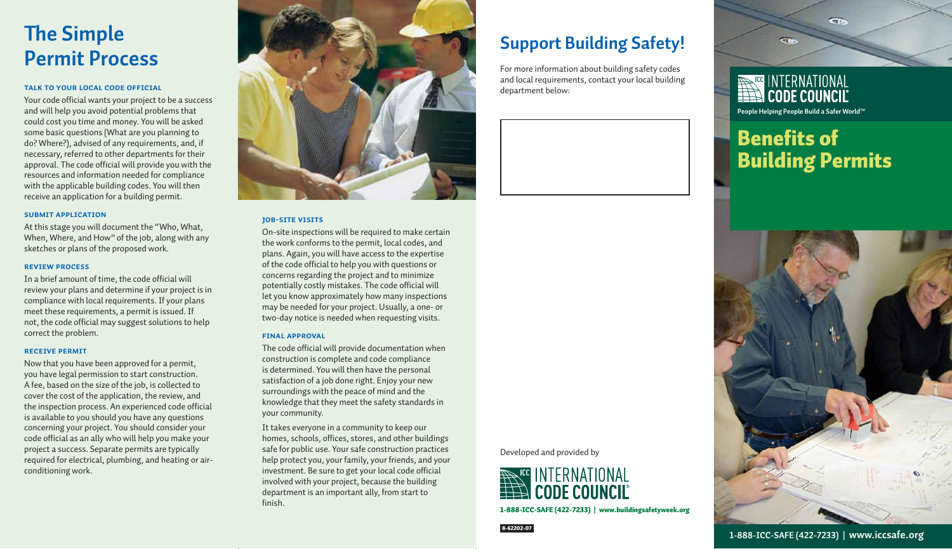# **The Simple Permit Process**

### **TALK TO YOUR LOCAL CODE OFFICIAL**

Your code official wants your project to be a success and will help you avoid potential problems that could cost you time and money. You will be asked some basic questions (What are you planning to do? Where?), advised of any requirements, and, if necessary, referred to other departments for their approval. The code official will provide you with the resources and information needed for compliance with the applicable building codes. You will then receive an application for a building permit.

### **SUBMIT APPLICATION**

At this stage you will document the "Who, What, When, Where, and How" of the job, along with any sketches or plans of the proposed work.

### **REVIEW PROCESS**

In a brief amount of time, the code official will review your plans and determine if your project is in compliance with local requirements. If your plans meet these requirements, a permit is issued. If not, the code official may suggest solutions to help correct the problem.

#### **RECEIVE PERMIT**

Now that you have been approved for a permit, you have legal permission to start construction. A fee, based on the size of the job, is collected to cover the cost of the application, the review, and the inspection process. An experienced code official is available to you should you have any questions concerning your project. You should consider your code official as an ally who will help you make your project a success. Separate permits are typically required for electrical, plumbing, and heating or airconditioning work.



### **JOB-SITE VISITS**

On-site inspections will be required to make certain the work conforms to the permit, local codes, and plans. Again, you will have access to the expertise of the code official to help you with questions or concerns regarding the project and to minimize potentially costly mistakes. The code official will let you know approximately how many inspections may be needed for your project. Usually, a one- or two-day notice is needed when requesting visits.

### **FINAL APPROVAL**

The code official will provide documentation when construction is complete and code compliance is determined. You will then have the personal satisfaction of a job done right. Enjoy your new surroundings with the peace of mind and the knowledge that they meet the safety standards in your community.

It takes everyone in a community to keep our homes, schools, offices, stores, and other buildings safe for public use. Your safe construction practices help protect you, your family, your friends, and your investment. Be sure to get your local code official involved with your project, because the building department is an important ally, from start to finish.

### **Support Building Safety!**

For more information about building safety codes and local requirements, contact your local building department below:

Developed and provided by



1-888-ICC-SAFE (422-7233) | www.buildingsafetyweek.org



## **Benefits of** Building Permits

 $\overline{CD}$ 



**CID**